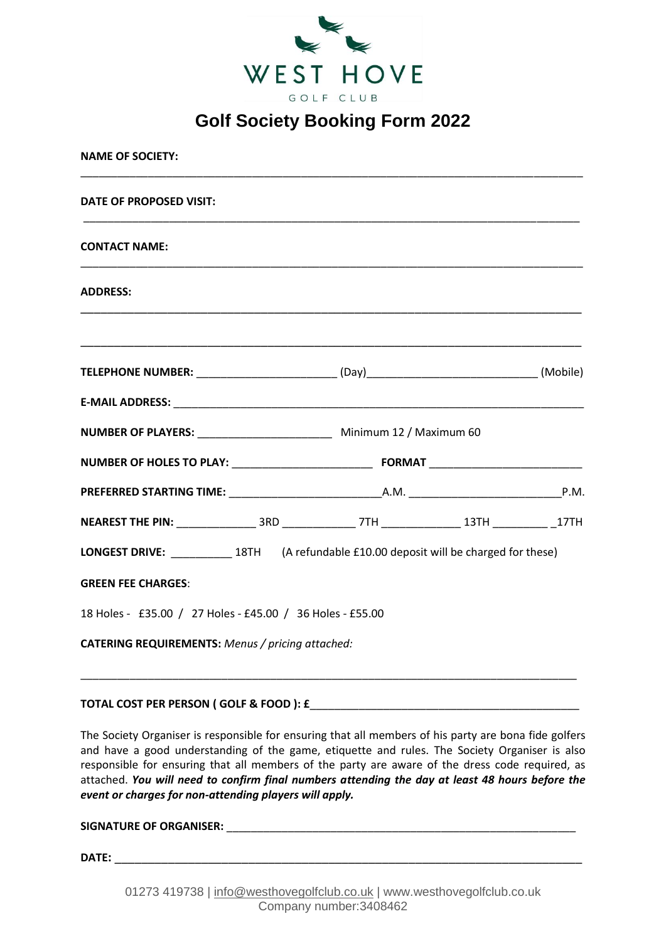

| <b>NAME OF SOCIETY:</b>                                                                  |                                                                        |  |  |  |
|------------------------------------------------------------------------------------------|------------------------------------------------------------------------|--|--|--|
| DATE OF PROPOSED VISIT:                                                                  |                                                                        |  |  |  |
| <b>CONTACT NAME:</b>                                                                     |                                                                        |  |  |  |
| <b>ADDRESS:</b>                                                                          |                                                                        |  |  |  |
|                                                                                          |                                                                        |  |  |  |
| TELEPHONE NUMBER: __________________________(Day)_______________________________(Mobile) |                                                                        |  |  |  |
|                                                                                          |                                                                        |  |  |  |
|                                                                                          | NUMBER OF PLAYERS: ___________________________ Minimum 12 / Maximum 60 |  |  |  |
|                                                                                          |                                                                        |  |  |  |
|                                                                                          |                                                                        |  |  |  |
|                                                                                          |                                                                        |  |  |  |
| LONGEST DRIVE: 18TH (A refundable £10.00 deposit will be charged for these)              |                                                                        |  |  |  |
| <b>GREEN FEE CHARGES:</b>                                                                |                                                                        |  |  |  |
| 18 Holes - £35.00 / 27 Holes - £45.00 / 36 Holes - £55.00                                |                                                                        |  |  |  |
| CATERING REQUIREMENTS: Menus / pricing attached:                                         |                                                                        |  |  |  |

#### **TOTAL COST PER PERSON ( GOLF & FOOD ): £**\_\_\_\_\_\_\_\_\_\_\_\_\_\_\_\_\_\_\_\_\_\_\_\_\_\_\_\_\_\_\_\_\_\_\_\_\_\_\_\_\_\_\_\_

The Society Organiser is responsible for ensuring that all members of his party are bona fide golfers and have a good understanding of the game, etiquette and rules. The Society Organiser is also responsible for ensuring that all members of the party are aware of the dress code required, as attached. *You will need to confirm final numbers attending the day at least 48 hours before the event or charges for non-attending players will apply.*

\_\_\_\_\_\_\_\_\_\_\_\_\_\_\_\_\_\_\_\_\_\_\_\_\_\_\_\_\_\_\_\_\_\_\_\_\_\_\_\_\_\_\_\_\_\_\_\_\_\_\_\_\_\_\_\_\_\_\_\_\_\_\_\_\_\_\_\_\_\_\_\_\_\_\_\_\_\_\_\_\_

**SIGNATURE OF ORGANISER:**  $\blacksquare$ 

**DATE:** \_\_\_\_\_\_\_\_\_\_\_\_\_\_\_\_\_\_\_\_\_\_\_\_\_\_\_\_\_\_\_\_\_\_\_\_\_\_\_\_\_\_\_\_\_\_\_\_\_\_\_\_\_\_\_\_\_\_\_\_\_\_\_\_\_\_\_\_\_\_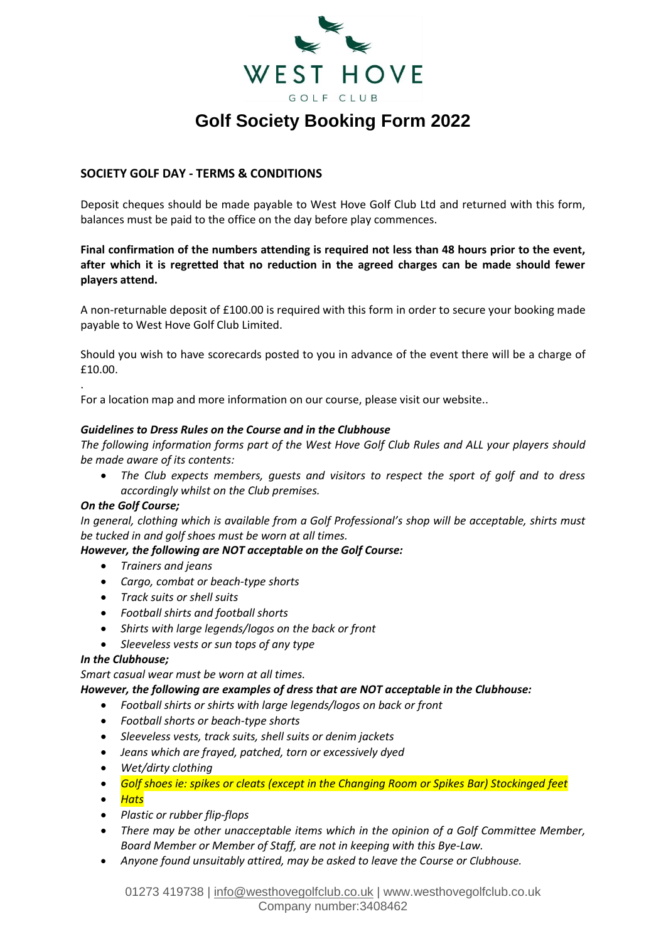

### **SOCIETY GOLF DAY - TERMS & CONDITIONS**

Deposit cheques should be made payable to West Hove Golf Club Ltd and returned with this form, balances must be paid to the office on the day before play commences.

**Final confirmation of the numbers attending is required not less than 48 hours prior to the event, after which it is regretted that no reduction in the agreed charges can be made should fewer players attend.** 

A non-returnable deposit of £100.00 is required with this form in order to secure your booking made payable to West Hove Golf Club Limited.

Should you wish to have scorecards posted to you in advance of the event there will be a charge of £10.00.

For a location map and more information on our course, please visit our website..

#### *Guidelines to Dress Rules on the Course and in the Clubhouse*

*The following information forms part of the West Hove Golf Club Rules and ALL your players should be made aware of its contents:* 

• *The Club expects members, guests and visitors to respect the sport of golf and to dress accordingly whilst on the Club premises.* 

#### *On the Golf Course;*

.

*In general, clothing which is available from a Golf Professional's shop will be acceptable, shirts must be tucked in and golf shoes must be worn at all times.* 

### *However, the following are NOT acceptable on the Golf Course:*

- *Trainers and jeans*
- *Cargo, combat or beach-type shorts*
- *Track suits or shell suits*
- *Football shirts and football shorts*
- *Shirts with large legends/logos on the back or front*
- *Sleeveless vests or sun tops of any type*

#### *In the Clubhouse;*

*Smart casual wear must be worn at all times.* 

*However, the following are examples of dress that are NOT acceptable in the Clubhouse:* 

- *Football shirts or shirts with large legends/logos on back or front*
- *Football shorts or beach-type shorts*
- *Sleeveless vests, track suits, shell suits or denim jackets*
- *Jeans which are frayed, patched, torn or excessively dyed*
- *Wet/dirty clothing*
- *Golf shoes ie: spikes or cleats (except in the Changing Room or Spikes Bar) Stockinged feet*
- *Hats*
- *Plastic or rubber flip-flops*
- *There may be other unacceptable items which in the opinion of a Golf Committee Member, Board Member or Member of Staff, are not in keeping with this Bye-Law.*
- *Anyone found unsuitably attired, may be asked to leave the Course or Clubhouse.*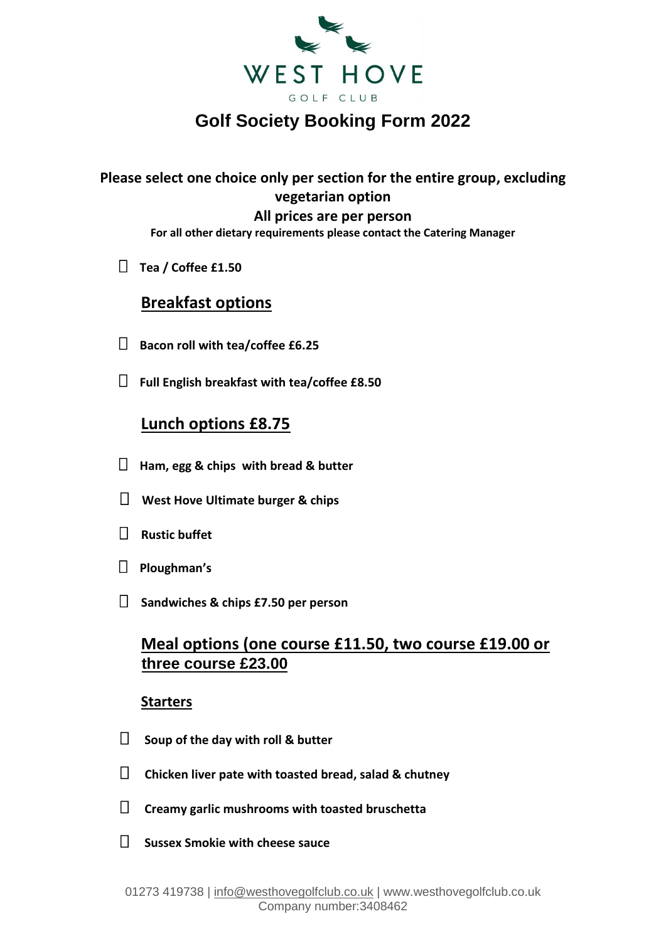

## **Please select one choice only per section for the entire group, excluding vegetarian option All prices are per person**

**For all other dietary requirements please contact the Catering Manager**

**Tea / Coffee £1.50** 

## **Breakfast options**

- **Bacon roll with tea/coffee £6.25**
- **Full English breakfast with tea/coffee £8.50**

## **Lunch options £8.75**

- **Ham, egg & chips with bread & butter**
- **West Hove Ultimate burger & chips**
- **Rustic buffet**
- **Ploughman's**
- **Sandwiches & chips £7.50 per person**

## **Meal options (one course £11.50, two course £19.00 or three course £23.00**

### **Starters**

- **Soup of the day with roll & butter**
- **Chicken liver pate with toasted bread, salad & chutney**
- **Creamy garlic mushrooms with toasted bruschetta**
- **Sussex Smokie with cheese sauce**